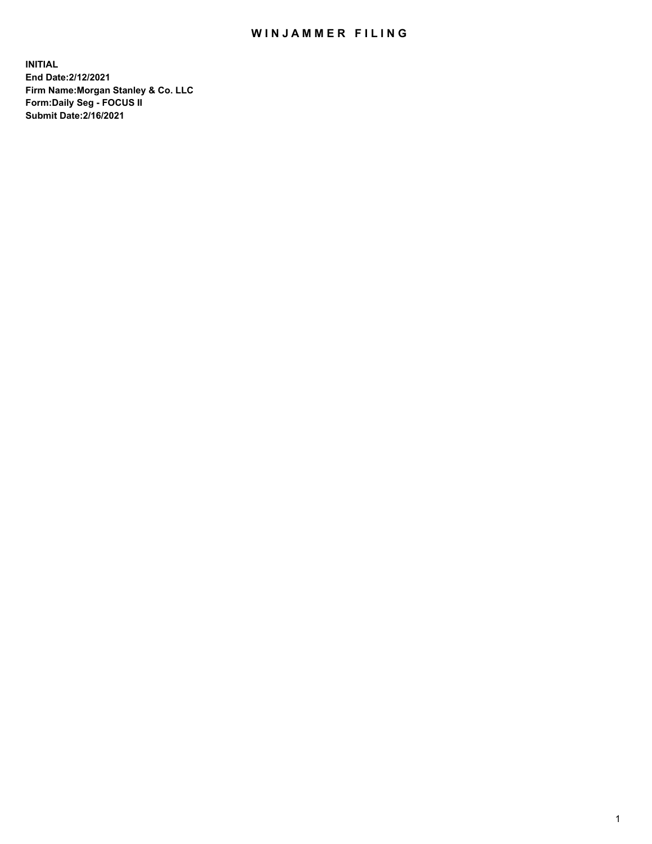## WIN JAMMER FILING

**INITIAL End Date:2/12/2021 Firm Name:Morgan Stanley & Co. LLC Form:Daily Seg - FOCUS II Submit Date:2/16/2021**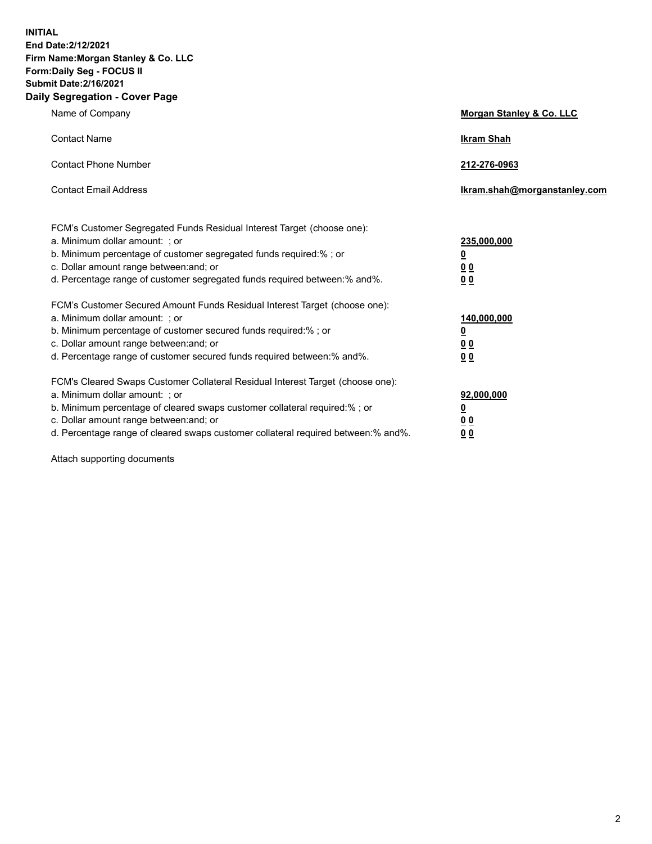**INITIAL End Date:2/12/2021 Firm Name:Morgan Stanley & Co. LLC Form:Daily Seg - FOCUS II Submit Date:2/16/2021 Daily Segregation - Cover Page**

| Name of Company                                                                                                                                                                                                                                                                                                                | <b>Morgan Stanley &amp; Co. LLC</b>                         |
|--------------------------------------------------------------------------------------------------------------------------------------------------------------------------------------------------------------------------------------------------------------------------------------------------------------------------------|-------------------------------------------------------------|
| <b>Contact Name</b>                                                                                                                                                                                                                                                                                                            | <b>Ikram Shah</b>                                           |
| <b>Contact Phone Number</b>                                                                                                                                                                                                                                                                                                    | 212-276-0963                                                |
| <b>Contact Email Address</b>                                                                                                                                                                                                                                                                                                   | Ikram.shah@morganstanley.com                                |
| FCM's Customer Segregated Funds Residual Interest Target (choose one):<br>a. Minimum dollar amount: ; or<br>b. Minimum percentage of customer segregated funds required:%; or<br>c. Dollar amount range between: and; or<br>d. Percentage range of customer segregated funds required between:% and%.                          | 235,000,000<br><u>0</u><br>0 <sub>0</sub><br>0 <sub>0</sub> |
| FCM's Customer Secured Amount Funds Residual Interest Target (choose one):<br>a. Minimum dollar amount: ; or<br>b. Minimum percentage of customer secured funds required:%; or<br>c. Dollar amount range between: and; or<br>d. Percentage range of customer secured funds required between:% and%.                            | 140,000,000<br><u>0</u><br>0 <sub>0</sub><br>0 <sub>0</sub> |
| FCM's Cleared Swaps Customer Collateral Residual Interest Target (choose one):<br>a. Minimum dollar amount: ; or<br>b. Minimum percentage of cleared swaps customer collateral required:% ; or<br>c. Dollar amount range between: and; or<br>d. Percentage range of cleared swaps customer collateral required between:% and%. | 92,000,000<br><u>0</u><br><u>00</u><br>00                   |

Attach supporting documents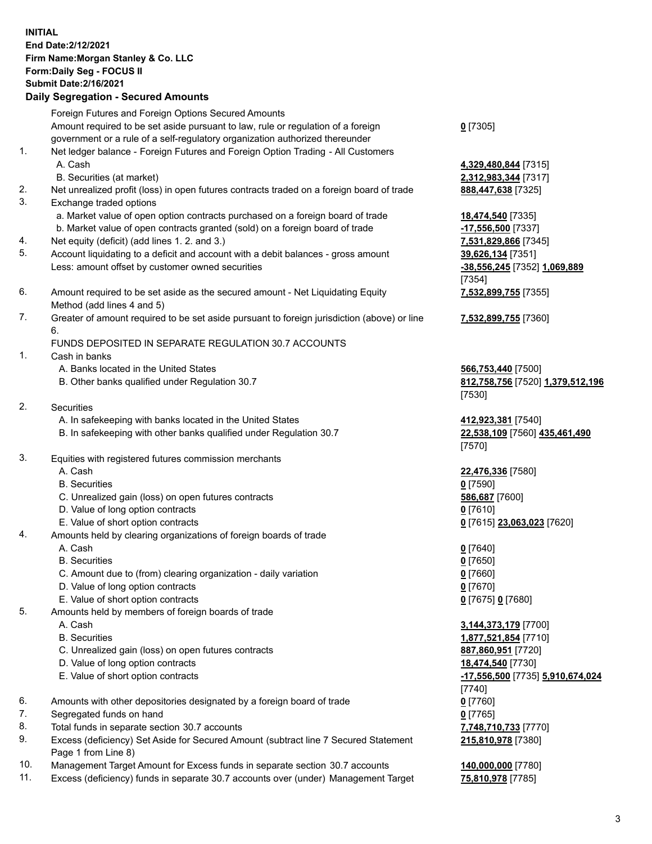## **INITIAL End Date:2/12/2021 Firm Name:Morgan Stanley & Co. LLC Form:Daily Seg - FOCUS II Submit Date:2/16/2021**

**Daily Segregation - Secured Amounts** Foreign Futures and Foreign Options Secured Amounts Amount required to be set aside pursuant to law, rule or regulation of a foreign government or a rule of a self-regulatory organization authorized thereunder 1. Net ledger balance - Foreign Futures and Foreign Option Trading - All Customers A. Cash **4,329,480,844** [7315] B. Securities (at market) **2,312,983,344** [7317] 2. Net unrealized profit (loss) in open futures contracts traded on a foreign board of trade **888,447,638** [7325] 3. Exchange traded options a. Market value of open option contracts purchased on a foreign board of trade **18,474,540** [7335] b. Market value of open contracts granted (sold) on a foreign board of trade **-17,556,500** [7337] 4. Net equity (deficit) (add lines 1. 2. and 3.) **7,531,829,866** [7345] 5. Account liquidating to a deficit and account with a debit balances - gross amount **39,626,134** [7351] Less: amount offset by customer owned securities **-38,556,245** [7352] **1,069,889** 6. Amount required to be set aside as the secured amount - Net Liquidating Equity Method (add lines 4 and 5) 7. Greater of amount required to be set aside pursuant to foreign jurisdiction (above) or line 6. FUNDS DEPOSITED IN SEPARATE REGULATION 30.7 ACCOUNTS 1. Cash in banks A. Banks located in the United States **566,753,440** [7500] B. Other banks qualified under Regulation 30.7 **812,758,756** [7520] **1,379,512,196** 2. Securities A. In safekeeping with banks located in the United States **412,923,381** [7540] B. In safekeeping with other banks qualified under Regulation 30.7 **22,538,109** [7560] **435,461,490** 3. Equities with registered futures commission merchants A. Cash **22,476,336** [7580] B. Securities **0** [7590] C. Unrealized gain (loss) on open futures contracts **586,687** [7600] D. Value of long option contracts **0** [7610] E. Value of short option contracts **0** [7615] **23,063,023** [7620] 4. Amounts held by clearing organizations of foreign boards of trade A. Cash **0** [7640] B. Securities **0** [7650] C. Amount due to (from) clearing organization - daily variation **0** [7660]

- D. Value of long option contracts **0** [7670]
- E. Value of short option contracts **0** [7675] **0** [7680]
- 5. Amounts held by members of foreign boards of trade
	-
	-
	- C. Unrealized gain (loss) on open futures contracts **887,860,951** [7720]
	- D. Value of long option contracts **18,474,540** [7730]
	-
- 6. Amounts with other depositories designated by a foreign board of trade **0** [7760]
- 7. Segregated funds on hand **0** [7765]
- 8. Total funds in separate section 30.7 accounts **7,748,710,733** [7770]
- 9. Excess (deficiency) Set Aside for Secured Amount (subtract line 7 Secured Statement Page 1 from Line 8)
- 10. Management Target Amount for Excess funds in separate section 30.7 accounts **140,000,000** [7780]
- 11. Excess (deficiency) funds in separate 30.7 accounts over (under) Management Target **75,810,978** [7785]

**0** [7305]

[7354] **7,532,899,755** [7355]

**7,532,899,755** [7360]

[7530]

[7570]

 A. Cash **3,144,373,179** [7700] B. Securities **1,877,521,854** [7710] E. Value of short option contracts **-17,556,500** [7735] **5,910,674,024** [7740] **215,810,978** [7380]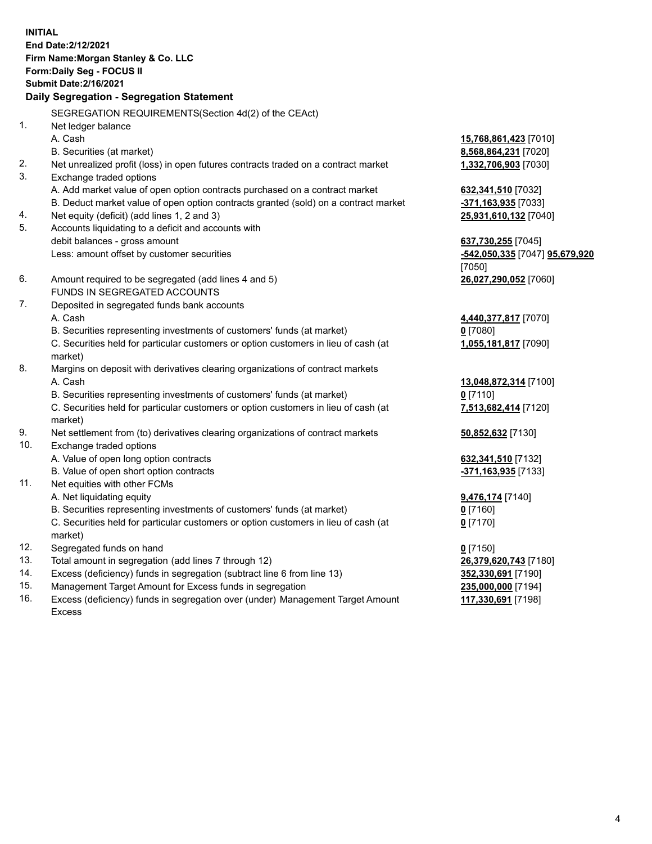**INITIAL End Date:2/12/2021 Firm Name:Morgan Stanley & Co. LLC Form:Daily Seg - FOCUS II Submit Date:2/16/2021 Daily Segregation - Segregation Statement** SEGREGATION REQUIREMENTS(Section 4d(2) of the CEAct) 1. Net ledger balance A. Cash **15,768,861,423** [7010] B. Securities (at market) **8,568,864,231** [7020] 2. Net unrealized profit (loss) in open futures contracts traded on a contract market **1,332,706,903** [7030] 3. Exchange traded options A. Add market value of open option contracts purchased on a contract market **632,341,510** [7032] B. Deduct market value of open option contracts granted (sold) on a contract market **-371,163,935** [7033] 4. Net equity (deficit) (add lines 1, 2 and 3) **25,931,610,132** [7040] 5. Accounts liquidating to a deficit and accounts with debit balances - gross amount **637,730,255** [7045] Less: amount offset by customer securities **-542,050,335** [7047] **95,679,920** [7050] 6. Amount required to be segregated (add lines 4 and 5) **26,027,290,052** [7060] FUNDS IN SEGREGATED ACCOUNTS 7. Deposited in segregated funds bank accounts A. Cash **4,440,377,817** [7070] B. Securities representing investments of customers' funds (at market) **0** [7080] C. Securities held for particular customers or option customers in lieu of cash (at market) **1,055,181,817** [7090] 8. Margins on deposit with derivatives clearing organizations of contract markets A. Cash **13,048,872,314** [7100] B. Securities representing investments of customers' funds (at market) **0** [7110] C. Securities held for particular customers or option customers in lieu of cash (at market) **7,513,682,414** [7120] 9. Net settlement from (to) derivatives clearing organizations of contract markets **50,852,632** [7130] 10. Exchange traded options A. Value of open long option contracts **632,341,510** [7132] B. Value of open short option contracts **-371,163,935** [7133] 11. Net equities with other FCMs A. Net liquidating equity **9,476,174** [7140] B. Securities representing investments of customers' funds (at market) **0** [7160] C. Securities held for particular customers or option customers in lieu of cash (at market) **0** [7170] 12. Segregated funds on hand **0** [7150] 13. Total amount in segregation (add lines 7 through 12) **26,379,620,743** [7180] 14. Excess (deficiency) funds in segregation (subtract line 6 from line 13) **352,330,691** [7190]

- 15. Management Target Amount for Excess funds in segregation **235,000,000** [7194]
- 16. Excess (deficiency) funds in segregation over (under) Management Target Amount Excess

**117,330,691** [7198]